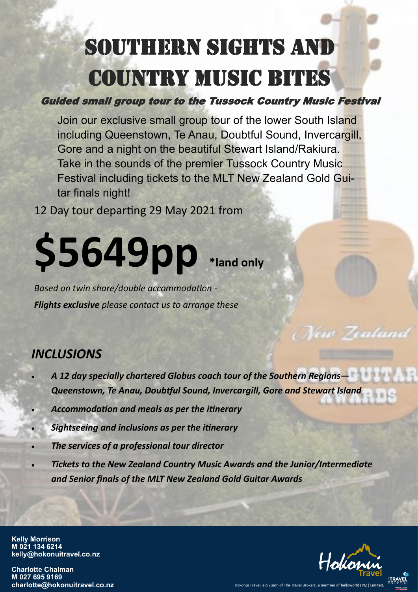## SOUTHERN SIGHTS AND COUNTRY MUSIC BITES

Guided small group tour to the Tussock Country Music Festival

Join our exclusive small group tour of the lower South Island including Queenstown, Te Anau, Doubtful Sound, Invercargill, Gore and a night on the beautiful Stewart Island/Rakiura. Take in the sounds of the premier Tussock Country Music Festival including tickets to the MLT New Zealand Gold Guitar finals night!

12 Day tour departing 29 May 2021 from

# **\$5649pp \*land only**

*Based on twin share/double accommodation - Flights exclusive please contact us to arrange these*

#### *INCLUSIONS*

- *A 12 day specially chartered Globus coach tour of the Southern Regions— Queenstown, Te Anau, Doubtful Sound, Invercargill, Gore and Stewart Island*
- *Accommodation and meals as per the itinerary*
- *Sightseeing and inclusions as per the itinerary*
- *The services of a professional tour director*
- *Tickets to the New Zealand Country Music Awards and the Junior/Intermediate and Senior finals of the MLT New Zealand Gold Guitar Awards*

**Kelly Morrison M 021 134 6214 kelly@hokonuitravel.co.nz**

**Charlotte Chalman M 027 695 9169 charlotte@hokonuitravel.co.nz** Hokonui Travel, a division of The Travel Brokers, a member of t



ew Zealand